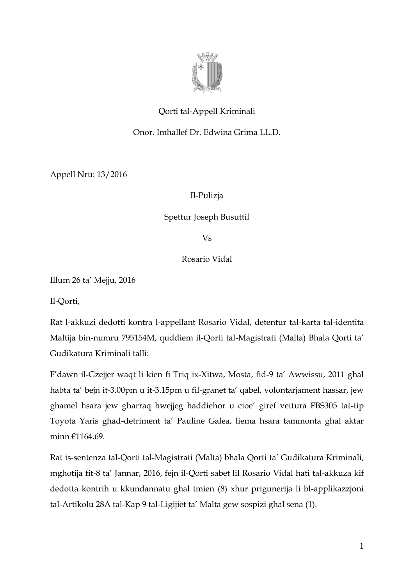

# Qorti tal-Appell Kriminali

## Onor. Imhallef Dr. Edwina Grima LL.D.

Appell Nru: 13/2016

## Il-Pulizja

## Spettur Joseph Busuttil

Vs

Rosario Vidal

Illum 26 ta' Mejju, 2016

Il-Qorti,

Rat l-akkuzi dedotti kontra l-appellant Rosario Vidal, detentur tal-karta tal-identita Maltija bin-numru 795154M, quddiem il-Qorti tal-Magistrati (Malta) Bhala Qorti ta' Gudikatura Kriminali talli:

F'dawn il-Gzejjer waqt li kien fi Triq ix-Xitwa, Mosta, fid-9 ta' Awwissu, 2011 ghal habta ta' bejn it-3.00pm u it-3.15pm u fil-granet ta' qabel, volontarjament hassar, jew ghamel hsara jew gharraq hwejjeg haddiehor u cioe' giref vettura FBS305 tat-tip Toyota Yaris ghad-detriment ta' Pauline Galea, liema hsara tammonta ghal aktar minn €1164.69.

Rat is-sentenza tal-Qorti tal-Magistrati (Malta) bhala Qorti ta' Gudikatura Kriminali, mghotija fit-8 ta' Jannar, 2016, fejn il-Qorti sabet lil Rosario Vidal hati tal-akkuza kif dedotta kontrih u kkundannatu ghal tmien (8) xhur prigunerija li bl-applikazzjoni tal-Artikolu 28A tal-Kap 9 tal-Ligijiet ta' Malta gew sospizi ghal sena (1).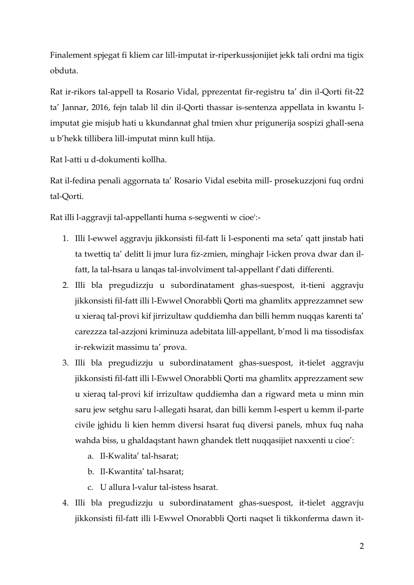Finalement spjegat fi kliem car lill-imputat ir-riperkussjonijiet jekk tali ordni ma tigix obduta.

Rat ir-rikors tal-appell ta Rosario Vidal, pprezentat fir-registru ta' din il-Qorti fit-22 ta' Jannar, 2016, fejn talab lil din il-Qorti thassar is-sentenza appellata in kwantu limputat gie misjub hati u kkundannat ghal tmien xhur prigunerija sospizi ghall-sena u b'hekk tillibera lill-imputat minn kull htija.

Rat l-atti u d-dokumenti kollha.

Rat il-fedina penali aggornata ta' Rosario Vidal esebita mill- prosekuzzjoni fuq ordni tal-Qorti.

Rat illi l-aggravji tal-appellanti huma s-segwenti w cioe':-

- 1. Illi l-ewwel aggravju jikkonsisti fil-fatt li l-esponenti ma seta' qatt jinstab hati ta twettiq ta' delitt li jmur lura fiz-zmien, minghajr l-icken prova dwar dan ilfatt, la tal-hsara u lanqas tal-involviment tal-appellant f'dati differenti.
- 2. Illi bla pregudizzju u subordinatament ghas-suespost, it-tieni aggravju jikkonsisti fil-fatt illi l-Ewwel Onorabbli Qorti ma ghamlitx apprezzamnet sew u xieraq tal-provi kif jirrizultaw quddiemha dan billi hemm nuqqas karenti ta' carezzza tal-azzjoni kriminuza adebitata lill-appellant, b'mod li ma tissodisfax ir-rekwizit massimu ta' prova.
- 3. Illi bla pregudizzju u subordinatament ghas-suespost, it-tielet aggravju jikkonsisti fil-fatt illi l-Ewwel Onorabbli Qorti ma ghamlitx apprezzament sew u xieraq tal-provi kif irrizultaw quddiemha dan a rigward meta u minn min saru jew setghu saru l-allegati hsarat, dan billi kemm l-espert u kemm il-parte civile jghidu li kien hemm diversi hsarat fuq diversi panels, mhux fuq naha wahda biss, u ghaldaqstant hawn ghandek tlett nuqqasijiet naxxenti u cioe':
	- a. Il-Kwalita' tal-hsarat;
	- b. Il-Kwantita' tal-hsarat;
	- c. U allura l-valur tal-istess hsarat.
- 4. Illi bla pregudizzju u subordinatament ghas-suespost, it-tielet aggravju jikkonsisti fil-fatt illi l-Ewwel Onorabbli Qorti naqset li tikkonferma dawn it-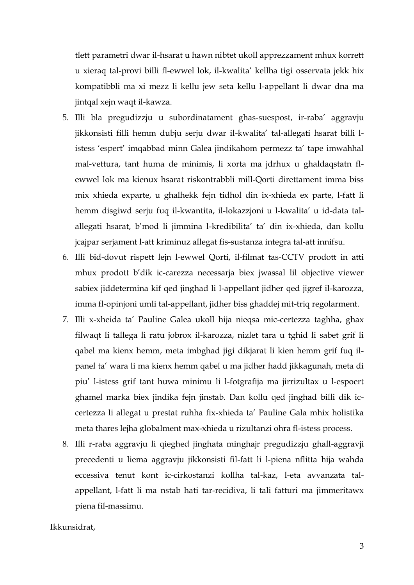tlett parametri dwar il-hsarat u hawn nibtet ukoll apprezzament mhux korrett u xieraq tal-provi billi fl-ewwel lok, il-kwalita' kellha tigi osservata jekk hix kompatibbli ma xi mezz li kellu jew seta kellu l-appellant li dwar dna ma jintqal xejn waqt il-kawza.

- 5. Illi bla pregudizzju u subordinatament ghas-suespost, ir-raba' aggravju jikkonsisti filli hemm dubju serju dwar il-kwalita' tal-allegati hsarat billi listess 'espert' imqabbad minn Galea jindikahom permezz ta' tape imwahhal mal-vettura, tant huma de minimis, li xorta ma jdrhux u ghaldaqstatn flewwel lok ma kienux hsarat riskontrabbli mill-Qorti direttament imma biss mix xhieda exparte, u ghalhekk fejn tidhol din ix-xhieda ex parte, l-fatt li hemm disgiwd serju fuq il-kwantita, il-lokazzjoni u l-kwalita' u id-data talallegati hsarat, b'mod li jimmina l-kredibilita' ta' din ix-xhieda, dan kollu jcajpar serjament l-att kriminuz allegat fis-sustanza integra tal-att innifsu.
- 6. Illi bid-dovut rispett lejn l-ewwel Qorti, il-filmat tas-CCTV prodott in atti mhux prodott b'dik ic-carezza necessarja biex jwassal lil objective viewer sabiex jiddetermina kif qed jinghad li l-appellant jidher qed jigref il-karozza, imma fl-opinjoni umli tal-appellant, jidher biss ghaddej mit-triq regolarment.
- 7. Illi x-xheida ta' Pauline Galea ukoll hija nieqsa mic-certezza taghha, ghax filwaqt li tallega li ratu jobrox il-karozza, nizlet tara u tghid li sabet grif li qabel ma kienx hemm, meta imbghad jigi dikjarat li kien hemm grif fuq ilpanel ta' wara li ma kienx hemm qabel u ma jidher hadd jikkagunah, meta di piu' l-istess grif tant huwa minimu li l-fotgrafija ma jirrizultax u l-espoert ghamel marka biex jindika fejn jinstab. Dan kollu qed jinghad billi dik iccertezza li allegat u prestat ruhha fix-xhieda ta' Pauline Gala mhix holistika meta thares lejha globalment max-xhieda u rizultanzi ohra fl-istess process.
- 8. Illi r-raba aggravju li qieghed jinghata minghajr pregudizzju ghall-aggravji precedenti u liema aggravju jikkonsisti fil-fatt li l-piena nflitta hija wahda eccessiva tenut kont ic-cirkostanzi kollha tal-kaz, l-eta avvanzata talappellant, l-fatt li ma nstab hati tar-recidiva, li tali fatturi ma jimmeritawx piena fil-massimu.

#### Ikkunsidrat,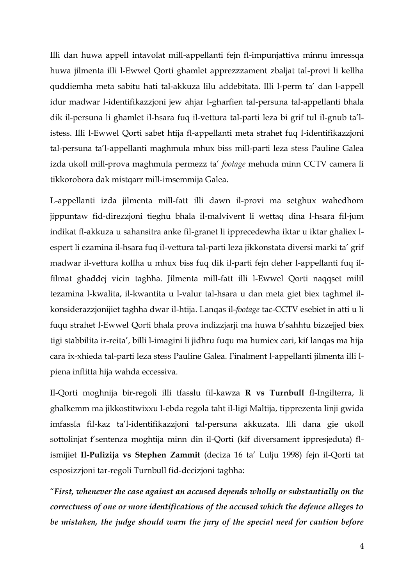Illi dan huwa appell intavolat mill-appellanti fejn fl-impunjattiva minnu imressqa huwa jilmenta illi l-Ewwel Qorti ghamlet apprezzzament zbaljat tal-provi li kellha quddiemha meta sabitu hati tal-akkuza lilu addebitata. Illi l-perm ta' dan l-appell idur madwar l-identifikazzjoni jew ahjar l-gharfien tal-persuna tal-appellanti bhala dik il-persuna li ghamlet il-hsara fuq il-vettura tal-parti leza bi grif tul il-gnub ta'listess. Illi l-Ewwel Qorti sabet htija fl-appellanti meta strahet fuq l-identifikazzjoni tal-persuna ta'l-appellanti maghmula mhux biss mill-parti leza stess Pauline Galea izda ukoll mill-prova maghmula permezz ta' *footage* mehuda minn CCTV camera li tikkorobora dak mistqarr mill-imsemmija Galea.

L-appellanti izda jilmenta mill-fatt illi dawn il-provi ma setghux wahedhom jippuntaw fid-direzzjoni tieghu bhala il-malvivent li wettaq dina l-hsara fil-jum indikat fl-akkuza u sahansitra anke fil-granet li ipprecedewha iktar u iktar ghaliex lespert li ezamina il-hsara fuq il-vettura tal-parti leza jikkonstata diversi marki ta' grif madwar il-vettura kollha u mhux biss fuq dik il-parti fejn deher l-appellanti fuq ilfilmat ghaddej vicin taghha. Jilmenta mill-fatt illi l-Ewwel Qorti naqqset milil tezamina l-kwalita, il-kwantita u l-valur tal-hsara u dan meta giet biex taghmel ilkonsiderazzjonijiet taghha dwar il-htija. Lanqas il-*footage* tac-CCTV esebiet in atti u li fuqu strahet l-Ewwel Qorti bhala prova indizzjarji ma huwa b'sahhtu bizzejjed biex tigi stabbilita ir-reita', billi l-imagini li jidhru fuqu ma humiex cari, kif lanqas ma hija cara ix-xhieda tal-parti leza stess Pauline Galea. Finalment l-appellanti jilmenta illi lpiena inflitta hija wahda eccessiva.

Il-Qorti moghnija bir-regoli illi tfasslu fil-kawza **R vs Turnbull** fl-Ingilterra, li ghalkemm ma jikkostitwixxu l-ebda regola taht il-ligi Maltija, tipprezenta linji gwida imfassla fil-kaz ta'l-identifikazzjoni tal-persuna akkuzata. Illi dana gie ukoll sottolinjat f'sentenza moghtija minn din il-Qorti (kif diversament ippresjeduta) flismijiet **Il-Pulizija vs Stephen Zammit** (deciza 16 ta' Lulju 1998) fejn il-Qorti tat esposizzjoni tar-regoli Turnbull fid-decizjoni taghha:

"*First, whenever the case against an accused depends wholly or substantially on the correctness of one or more identifications of the accused which the defence alleges to be mistaken, the judge should warn the jury of the special need for caution before*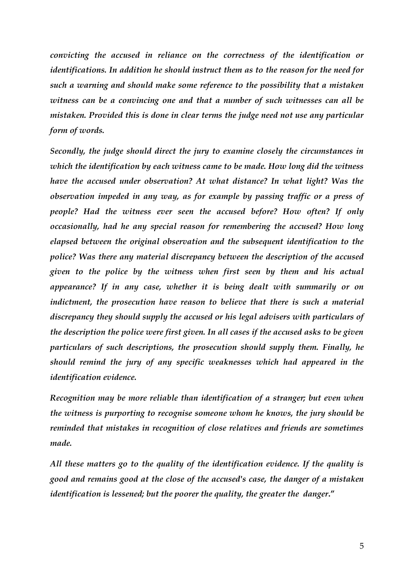*convicting the accused in reliance on the correctness of the identification or identifications. In addition he should instruct them as to the reason for the need for such a warning and should make some reference to the possibility that a mistaken witness can be a convincing one and that a number of such witnesses can all be mistaken. Provided this is done in clear terms the judge need not use any particular form of words.* 

*Secondly, the judge should direct the jury to examine closely the circumstances in which the identification by each witness came to be made. How long did the witness have the accused under observation? At what distance? In what light? Was the observation impeded in any way, as for example by passing traffic or a press of people? Had the witness ever seen the accused before? How often? If only occasionally, had he any special reason for remembering the accused? How long elapsed between the original observation and the subsequent identification to the police? Was there any material discrepancy between the description of the accused given to the police by the witness when first seen by them and his actual appearance? If in any case, whether it is being dealt with summarily or on indictment, the prosecution have reason to believe that there is such a material discrepancy they should supply the accused or his legal advisers with particulars of the description the police were first given. In all cases if the accused asks to be given particulars of such descriptions, the prosecution should supply them. Finally, he should remind the jury of any specific weaknesses which had appeared in the identification evidence.* 

*Recognition may be more reliable than identification of a stranger; but even when the witness is purporting to recognise someone whom he knows, the jury should be reminded that mistakes in recognition of close relatives and friends are sometimes made.* 

*All these matters go to the quality of the identification evidence. If the quality is good and remains good at the close of the accused's case, the danger of a mistaken identification is lessened; but the poorer the quality, the greater the danger***."**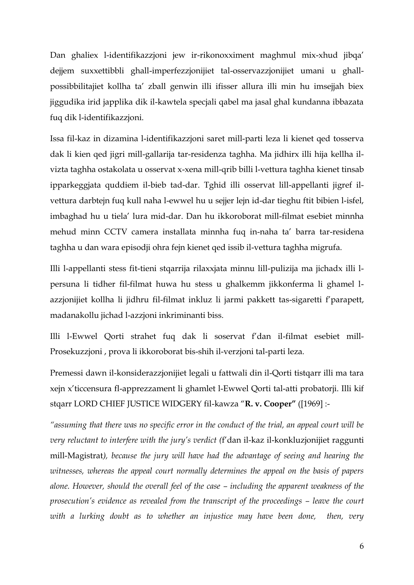Dan ghaliex l-identifikazzjoni jew ir-rikonoxximent maghmul mix-xhud jibqa' dejjem suxxettibbli ghall-imperfezzjonijiet tal-osservazzjonijiet umani u ghallpossibbilitajiet kollha ta' zball genwin illi ifisser allura illi min hu imsejjah biex jiggudika irid japplika dik il-kawtela specjali qabel ma jasal ghal kundanna ibbazata fuq dik l-identifikazzjoni.

Issa fil-kaz in dizamina l-identifikazzjoni saret mill-parti leza li kienet qed tosserva dak li kien qed jigri mill-gallarija tar-residenza taghha. Ma jidhirx illi hija kellha ilvizta taghha ostakolata u osservat x-xena mill-qrib billi l-vettura taghha kienet tinsab ipparkeggjata quddiem il-bieb tad-dar. Tghid illi osservat lill-appellanti jigref ilvettura darbtejn fuq kull naha l-ewwel hu u sejjer lejn id-dar tieghu ftit bibien l-isfel, imbaghad hu u tiela' lura mid-dar. Dan hu ikkoroborat mill-filmat esebiet minnha mehud minn CCTV camera installata minnha fuq in-naha ta' barra tar-residena taghha u dan wara episodji ohra fejn kienet qed issib il-vettura taghha migrufa.

Illi l-appellanti stess fit-tieni stqarrija rilaxxjata minnu lill-pulizija ma jichadx illi lpersuna li tidher fil-filmat huwa hu stess u ghalkemm jikkonferma li ghamel lazzjonijiet kollha li jidhru fil-filmat inkluz li jarmi pakkett tas-sigaretti f'parapett, madanakollu jichad l-azzjoni inkriminanti biss.

Illi l-Ewwel Qorti strahet fuq dak li soservat f'dan il-filmat esebiet mill-Prosekuzzjoni , prova li ikkoroborat bis-shih il-verzjoni tal-parti leza.

Premessi dawn il-konsiderazzjonijiet legali u fattwali din il-Qorti tistqarr illi ma tara xejn x'ticcensura fl-apprezzament li ghamlet l-Ewwel Qorti tal-atti probatorji. Illi kif stqarr LORD CHIEF JUSTICE WIDGERY fil-kawza "**R. v. Cooper"** ([1969] :-

*"assuming that there was no specific error in the conduct of the trial, an appeal court will be very reluctant to interfere with the jury's verdict (*f'dan il-kaz il-konkluzjonijiet raggunti mill-Magistrat*), because the jury will have had the advantage of seeing and hearing the witnesses, whereas the appeal court normally determines the appeal on the basis of papers alone. However, should the overall feel of the case – including the apparent weakness of the prosecution's evidence as revealed from the transcript of the proceedings – leave the court*  with a lurking doubt as to whether an injustice may have been done, then, very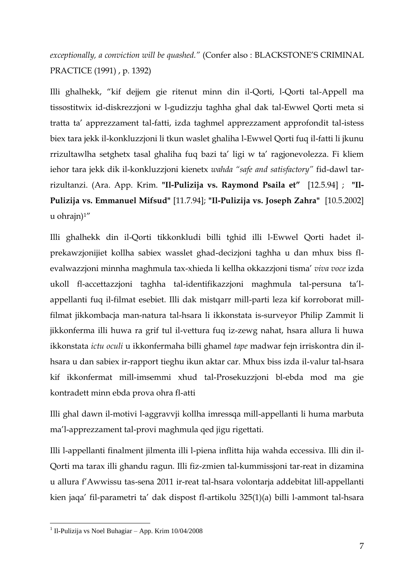*exceptionally, a conviction will be quashed."* (Confer also : BLACKSTONE'S CRIMINAL PRACTICE (1991) , p. 1392)

Illi ghalhekk, "kif dejjem gie ritenut minn din il-Qorti, l-Qorti tal-Appell ma tissostitwix id-diskrezzjoni w l-gudizzju taghha ghal dak tal-Ewwel Qorti meta si tratta ta' apprezzament tal-fatti, izda taghmel apprezzament approfondit tal-istess biex tara jekk il-konkluzzjoni li tkun waslet ghaliha l-Ewwel Qorti fuq il-fatti li jkunu rrizultawlha setghetx tasal ghaliha fuq bazi ta' ligi w ta' ragjonevolezza. Fi kliem iehor tara jekk dik il-konkluzzjoni kienetx *wahda "safe and satisfactory"* fid-dawl tarrizultanzi. (Ara. App. Krim. **"Il-Pulizija vs. Raymond Psaila et"** [12.5.94] ; **"Il-Pulizija vs. Emmanuel Mifsud"** [11.7.94]; **"Il-Pulizija vs. Joseph Zahra"** [10.5.2002] u ohrajn)1"

Illi ghalhekk din il-Qorti tikkonkludi billi tghid illi l-Ewwel Qorti hadet ilprekawzjonijiet kollha sabiex wasslet ghad-decizjoni taghha u dan mhux biss flevalwazzjoni minnha maghmula tax-xhieda li kellha okkazzjoni tisma' *viva voce* izda ukoll fl-accettazzjoni taghha tal-identifikazzjoni maghmula tal-persuna ta'lappellanti fuq il-filmat esebiet. Illi dak mistqarr mill-parti leza kif korroborat millfilmat jikkombacja man-natura tal-hsara li ikkonstata is-surveyor Philip Zammit li jikkonferma illi huwa ra grif tul il-vettura fuq iz-zewg nahat, hsara allura li huwa ikkonstata *ictu oculi* u ikkonfermaha billi ghamel *tape* madwar fejn irriskontra din ilhsara u dan sabiex ir-rapport tieghu ikun aktar car. Mhux biss izda il-valur tal-hsara kif ikkonfermat mill-imsemmi xhud tal-Prosekuzzjoni bl-ebda mod ma gie kontradett minn ebda prova ohra fl-atti

Illi ghal dawn il-motivi l-aggravvji kollha imressqa mill-appellanti li huma marbuta ma'l-apprezzament tal-provi maghmula qed jigu rigettati.

Illi l-appellanti finalment jilmenta illi l-piena inflitta hija wahda eccessiva. Illi din il-Qorti ma tarax illi ghandu ragun. Illi fiz-zmien tal-kummissjoni tar-reat in dizamina u allura f'Awwissu tas-sena 2011 ir-reat tal-hsara volontarja addebitat lill-appellanti kien jaqa' fil-parametri ta' dak dispost fl-artikolu 325(1)(a) billi l-ammont tal-hsara

**.** 

<sup>1</sup> Il-Pulizija vs Noel Buhagiar – App. Krim 10/04/2008